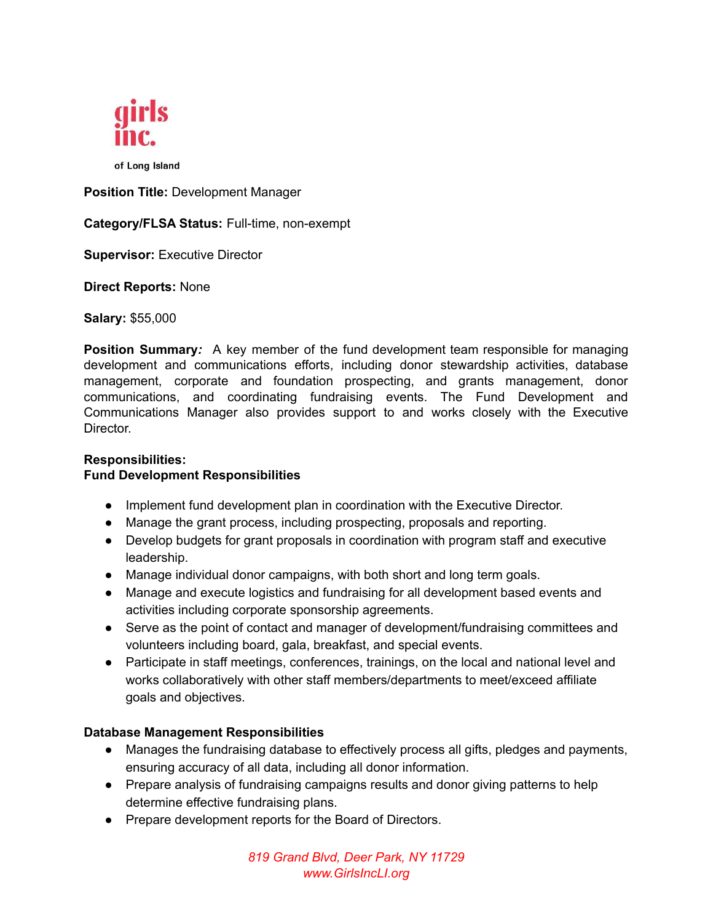

of Long Island

**Position Title:** Development Manager

**Category/FLSA Status:** Full-time, non-exempt

**Supervisor:** Executive Director

**Direct Reports:** None

**Salary:** \$55,000

**Position Summary***:* A key member of the fund development team responsible for managing development and communications efforts, including donor stewardship activities, database management, corporate and foundation prospecting, and grants management, donor communications, and coordinating fundraising events. The Fund Development and Communications Manager also provides support to and works closely with the Executive Director.

# **Responsibilities:**

### **Fund Development Responsibilities**

- Implement fund development plan in coordination with the Executive Director.
- Manage the grant process, including prospecting, proposals and reporting.
- Develop budgets for grant proposals in coordination with program staff and executive leadership.
- Manage individual donor campaigns, with both short and long term goals.
- Manage and execute logistics and fundraising for all development based events and activities including corporate sponsorship agreements.
- Serve as the point of contact and manager of development/fundraising committees and volunteers including board, gala, breakfast, and special events.
- Participate in staff meetings, conferences, trainings, on the local and national level and works collaboratively with other staff members/departments to meet/exceed affiliate goals and objectives.

#### **Database Management Responsibilities**

- Manages the fundraising database to effectively process all gifts, pledges and payments, ensuring accuracy of all data, including all donor information.
- Prepare analysis of fundraising campaigns results and donor giving patterns to help determine effective fundraising plans.
- Prepare development reports for the Board of Directors.

*819 Grand Blvd, Deer Park, NY 11729 www.GirlsIncLI.org*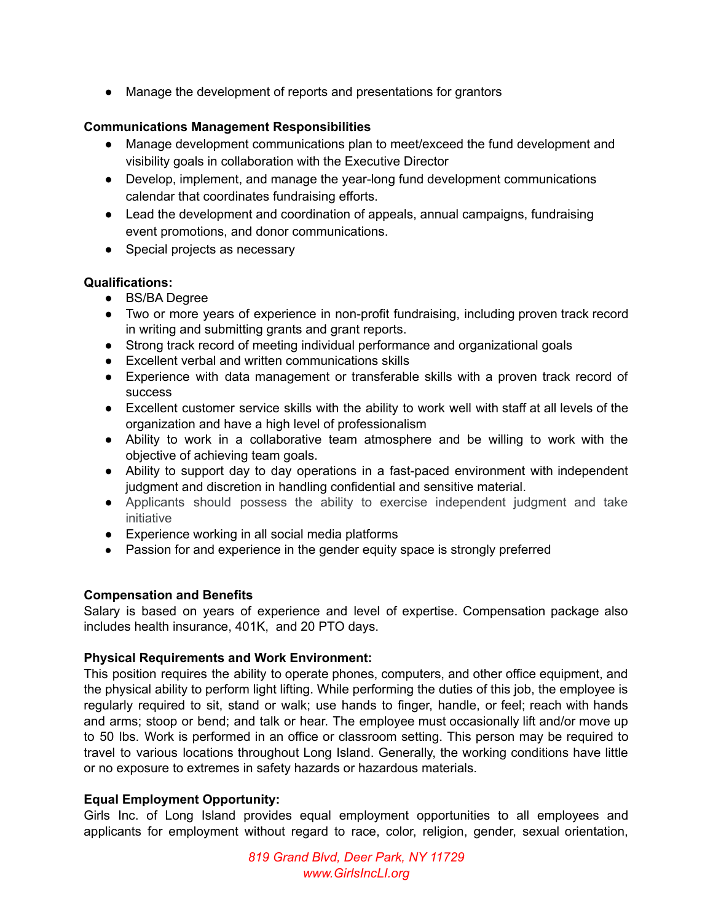● Manage the development of reports and presentations for grantors

### **Communications Management Responsibilities**

- Manage development communications plan to meet/exceed the fund development and visibility goals in collaboration with the Executive Director
- Develop, implement, and manage the year-long fund development communications calendar that coordinates fundraising efforts.
- Lead the development and coordination of appeals, annual campaigns, fundraising event promotions, and donor communications.
- Special projects as necessary

## **Qualifications:**

- BS/BA Degree
- Two or more years of experience in non-profit fundraising, including proven track record in writing and submitting grants and grant reports.
- Strong track record of meeting individual performance and organizational goals
- Excellent verbal and written communications skills
- Experience with data management or transferable skills with a proven track record of success
- Excellent customer service skills with the ability to work well with staff at all levels of the organization and have a high level of professionalism
- Ability to work in a collaborative team atmosphere and be willing to work with the objective of achieving team goals.
- Ability to support day to day operations in a fast-paced environment with independent judgment and discretion in handling confidential and sensitive material.
- Applicants should possess the ability to exercise independent judgment and take initiative
- Experience working in all social media platforms
- Passion for and experience in the gender equity space is strongly preferred

#### **Compensation and Benefits**

Salary is based on years of experience and level of expertise. Compensation package also includes health insurance, 401K, and 20 PTO days.

#### **Physical Requirements and Work Environment:**

This position requires the ability to operate phones, computers, and other office equipment, and the physical ability to perform light lifting. While performing the duties of this job, the employee is regularly required to sit, stand or walk; use hands to finger, handle, or feel; reach with hands and arms; stoop or bend; and talk or hear. The employee must occasionally lift and/or move up to 50 lbs. Work is performed in an office or classroom setting. This person may be required to travel to various locations throughout Long Island. Generally, the working conditions have little or no exposure to extremes in safety hazards or hazardous materials.

#### **Equal Employment Opportunity:**

Girls Inc. of Long Island provides equal employment opportunities to all employees and applicants for employment without regard to race, color, religion, gender, sexual orientation,

> *819 Grand Blvd, Deer Park, NY 11729 www.GirlsIncLI.org*